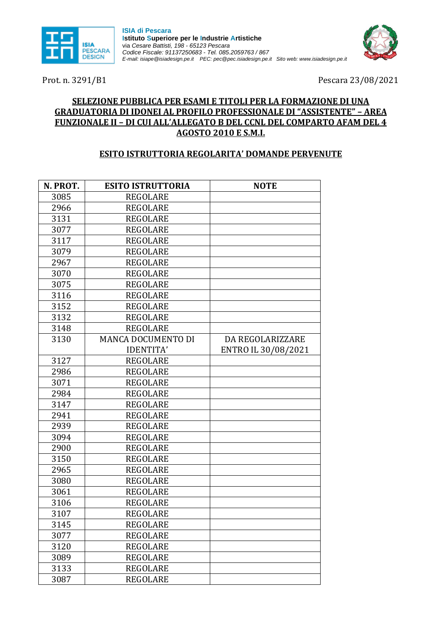

**ISIA di Pescara Istituto Superiore per le Industrie Artistiche** via *Cesare Battisti, 198 - 65123 Pescara Codice Fiscale: 91137250683* - *Tel. 085.2059763 / 867 E-mail: isiape@isiadesign.pe.it PEC[: pec@pec.isiadesign.pe.it](mailto:pec@pec.isiadesign.pe.it) Sito web: [www.isiadesign.pe.it](http://www.isiadesign.pe.it/)*

Prot. n. 3291/B1 Pescara 23/08/2021

## **SELEZIONE PUBBLICA PER ESAMI E TITOLI PER LA FORMAZIONE DI UNA GRADUATORIA DI IDONEI AL PROFILO PROFESSIONALE DI "ASSISTENTE" – AREA FUNZIONALE II – DI CUI ALL'ALLEGATO B DEL CCNL DEL COMPARTO AFAM DEL 4 AGOSTO 2010 E S.M.I.**

## **ESITO ISTRUTTORIA REGOLARITA' DOMANDE PERVENUTE**

| N. PROT. | <b>ESITO ISTRUTTORIA</b>  | <b>NOTE</b>         |
|----------|---------------------------|---------------------|
| 3085     | <b>REGOLARE</b>           |                     |
| 2966     | <b>REGOLARE</b>           |                     |
| 3131     | <b>REGOLARE</b>           |                     |
| 3077     | <b>REGOLARE</b>           |                     |
| 3117     | <b>REGOLARE</b>           |                     |
| 3079     | <b>REGOLARE</b>           |                     |
| 2967     | <b>REGOLARE</b>           |                     |
| 3070     | <b>REGOLARE</b>           |                     |
| 3075     | <b>REGOLARE</b>           |                     |
| 3116     | <b>REGOLARE</b>           |                     |
| 3152     | <b>REGOLARE</b>           |                     |
| 3132     | <b>REGOLARE</b>           |                     |
| 3148     | <b>REGOLARE</b>           |                     |
| 3130     | <b>MANCA DOCUMENTO DI</b> | DA REGOLARIZZARE    |
|          | <b>IDENTITA'</b>          | ENTRO IL 30/08/2021 |
| 3127     | <b>REGOLARE</b>           |                     |
| 2986     | <b>REGOLARE</b>           |                     |
| 3071     | <b>REGOLARE</b>           |                     |
| 2984     | <b>REGOLARE</b>           |                     |
| 3147     | <b>REGOLARE</b>           |                     |
| 2941     | <b>REGOLARE</b>           |                     |
| 2939     | <b>REGOLARE</b>           |                     |
| 3094     | <b>REGOLARE</b>           |                     |
| 2900     | <b>REGOLARE</b>           |                     |
| 3150     | <b>REGOLARE</b>           |                     |
| 2965     | <b>REGOLARE</b>           |                     |
| 3080     | <b>REGOLARE</b>           |                     |
| 3061     | <b>REGOLARE</b>           |                     |
| 3106     | <b>REGOLARE</b>           |                     |
| 3107     | REGOLARE                  |                     |
| 3145     | <b>REGOLARE</b>           |                     |
| 3077     | <b>REGOLARE</b>           |                     |
| 3120     | <b>REGOLARE</b>           |                     |
| 3089     | <b>REGOLARE</b>           |                     |
| 3133     | <b>REGOLARE</b>           |                     |
| 3087     | <b>REGOLARE</b>           |                     |